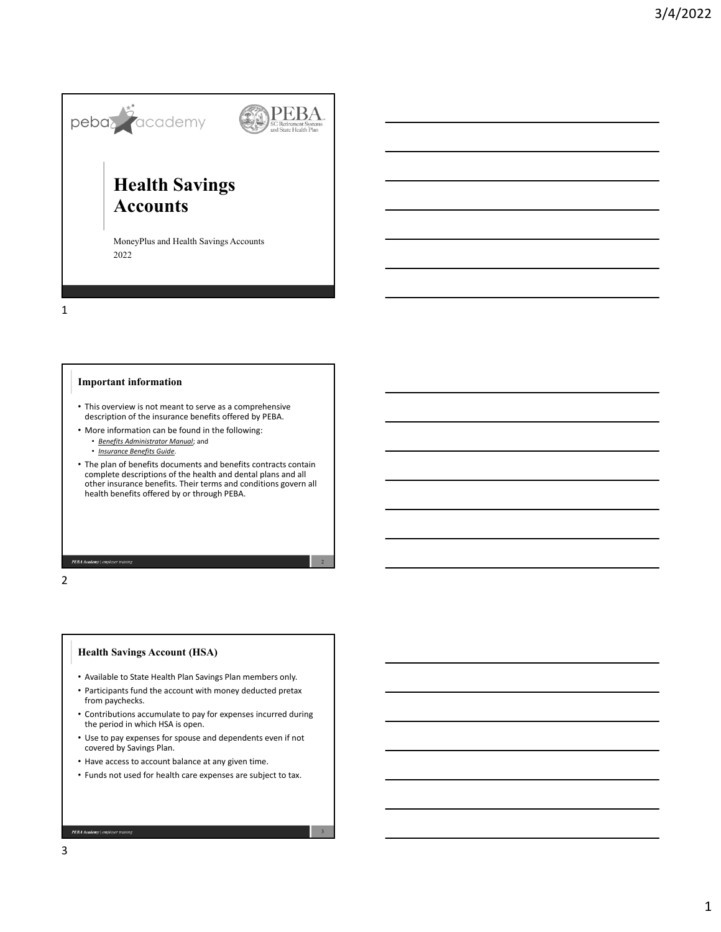

MoneyPlus and Health Savings Accounts 2022

1

#### **Important information**

- This overview is not meant to serve as a comprehensive description of the insurance benefits offered by PEBA.
- More information can be found in the following:
	- *Benefits Administrator Manual*; and
	- *Insurance Benefits Guide*.
- The plan of benefits documents and benefits contracts contain complete descriptions of the health and dental plans and all other insurance benefits. Their terms and conditions govern all health benefits offered by or through PEBA.

PEBA Academy | em

2

### **Health Savings Account (HSA)**

- Available to State Health Plan Savings Plan members only.
- Participants fund the account with money deducted pretax from paychecks.
- Contributions accumulate to pay for expenses incurred during the period in which HSA is open.
- Use to pay expenses for spouse and dependents even if not covered by Savings Plan.
- Have access to account balance at any given time.
- Funds not used for health care expenses are subject to tax.

3

PEBA Academy | employer to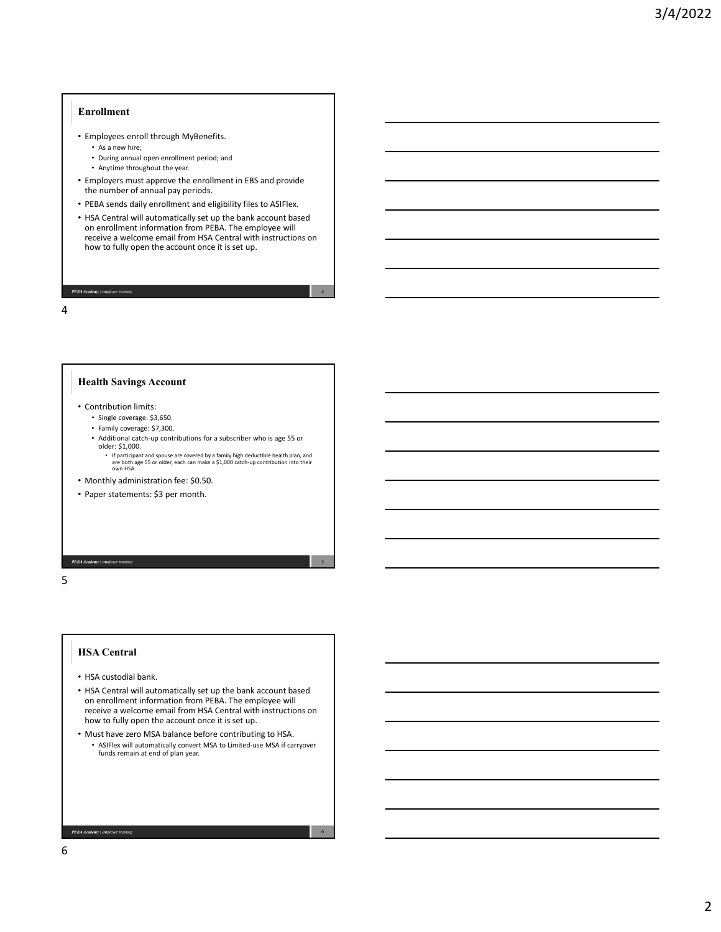#### **Enrollment**

- Employees enroll through MyBenefits.
	- As a new hire;
	- During annual open enrollment period; and
	- Anytime throughout the year.
- Employers must approve the enrollment in EBS and provide the number of annual pay periods.
- PEBA sends daily enrollment and eligibility files to ASIFlex.
- HSA Central will automatically set up the bank account based on enrollment information from PEBA. The employee will receive a welcome email from HSA Central with instructions on how to fully open the account once it is set up.

4

5

6

## PEBA Academy | employ

4

# **Health Savings Account**

- Contribution limits:
	- Single coverage: \$3,650.
	- Family coverage: \$7,300.
	- Additional catch‐up contributions for a subscriber who is age 55 or older: \$1,000.
		- If participant and spouse are covered by a family high deductible health plan, and are both age 55 or older, each can make a \$1,000 catch‐up contribution into their own HSA.
- Monthly administration fee: \$0.50.
- Paper statements: \$3 per month.

PEBA Academy | emple

# 5

# **HSA Central**

- HSA custodial bank.
- HSA Central will automatically set up the bank account based on enrollment information from PEBA. The employee will receive a welcome email from HSA Central with instructions on how to fully open the account once it is set up.
- Must have zero MSA balance before contributing to HSA. • ASIFlex will automatically convert MSA to Limited‐use MSA if carryover funds remain at end of plan year.

PEBA Academy | employer training